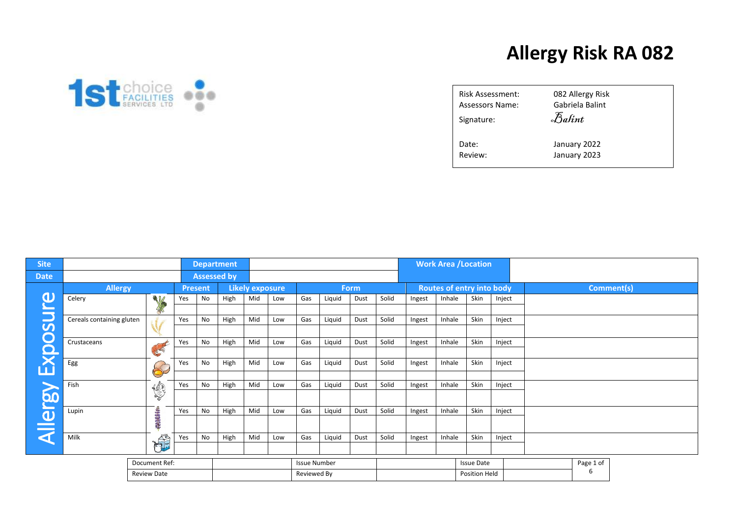

| Risk Assessment: | 082 Allergy Risk |
|------------------|------------------|
| Assessors Name:  | Gabriela Balint  |
| Signature:       | Balint           |
| Date:            | January 2022     |
| Review:          | January 2023     |

| <b>Site</b>               |                           |                    |     | <b>Department</b>  |      |     |                                       |     |        |      |       |               |                                  | <b>Work Area / Location</b> |            |           |  |
|---------------------------|---------------------------|--------------------|-----|--------------------|------|-----|---------------------------------------|-----|--------|------|-------|---------------|----------------------------------|-----------------------------|------------|-----------|--|
| <b>Date</b>               |                           |                    |     | <b>Assessed by</b> |      |     |                                       |     |        |      |       |               |                                  |                             |            |           |  |
|                           | <b>Allergy</b>            |                    |     | <b>Present</b>     |      |     | <b>Likely exposure</b><br><b>Form</b> |     |        |      |       |               | <b>Routes of entry into body</b> |                             | Comment(s) |           |  |
| Œ                         | Celery                    | 人                  | Yes | No                 | High | Mid | Low                                   | Gas | Liquid | Dust | Solid | Ingest        | Inhale                           | Skin                        | Inject     |           |  |
| $\sim$<br>$\mathbf{v}$    | Cereals containing gluten |                    | Yes | No                 | High | Mid | Low                                   | Gas | Liquid | Dust | Solid | Ingest        | Inhale                           | Skin                        | Inject     |           |  |
| $\mathbf C$               | Crustaceans               | <b>CALL AND</b>    | Yes | No                 | High | Mid | Low                                   | Gas | Liquid | Dust | Solid | Ingest        | Inhale                           | Skin                        | Inject     |           |  |
|                           | Egg                       | S                  | Yes | <b>No</b>          | High | Mid | Low                                   | Gas | Liquid | Dust | Solid | Ingest        | Inhale                           | Skin                        | Inject     |           |  |
| <b>DC</b>                 | Fish                      | XI                 | Yes | No                 | High | Mid | Low                                   | Gas | Liquid | Dust | Solid | Ingest        | Inhale                           | Skin                        | Inject     |           |  |
| $ \overline{\mathbf{0}} $ | Lupin                     | 特集特征               | Yes | No                 | High | Mid | Low                                   | Gas | Liquid | Dust | Solid | Ingest        | Inhale                           | Skin                        | Inject     |           |  |
|                           | Milk                      | H                  | Yes | No                 | High | Mid | Low                                   | Gas | Liquid | Dust | Solid | Ingest        | Inhale                           | Skin                        | Inject     |           |  |
|                           |                           | Document Ref:      |     |                    |      |     | <b>Issue Number</b>                   |     |        |      |       |               |                                  | <b>Issue Date</b>           |            | Page 1 of |  |
|                           |                           | <b>Review Date</b> |     |                    |      |     | Reviewed By                           |     |        |      |       | Position Held |                                  |                             | 6          |           |  |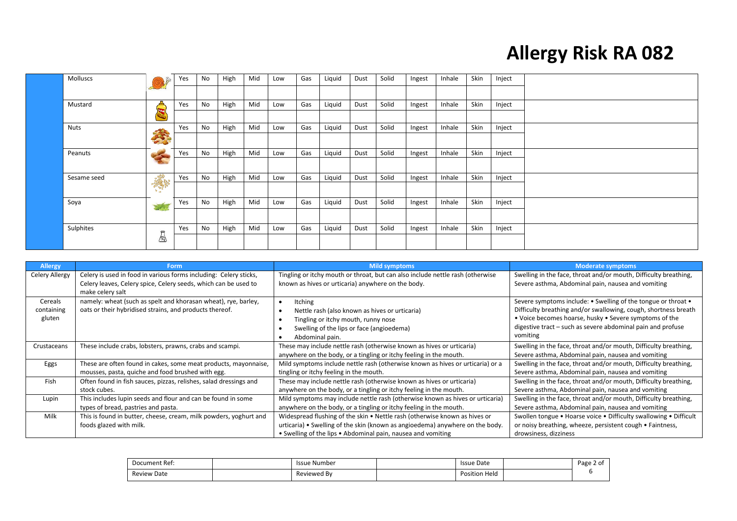| Molluscs    | $\frac{1}{2}$       | Yes | No        | High | Mid | Low | Gas | Liquid | Dust | Solid | Ingest | Inhale | Skin | Inject |  |
|-------------|---------------------|-----|-----------|------|-----|-----|-----|--------|------|-------|--------|--------|------|--------|--|
|             |                     |     |           |      |     |     |     |        |      |       |        |        |      |        |  |
| Mustard     | <b>Lines</b>        | Yes | No        | High | Mid | Low | Gas | Liquid | Dust | Solid | Ingest | Inhale | Skin | Inject |  |
|             | <b>Constitution</b> |     |           |      |     |     |     |        |      |       |        |        |      |        |  |
| Nuts        |                     | Yes | No        | High | Mid | Low | Gas | Liquid | Dust | Solid | Ingest | Inhale | Skin | Inject |  |
|             | 天文                  |     |           |      |     |     |     |        |      |       |        |        |      |        |  |
| Peanuts     | $\sum_{i=1}^{n}$    | Yes | No        | High | Mid | Low | Gas | Liquid | Dust | Solid | Ingest | Inhale | Skin | Inject |  |
|             |                     |     |           |      |     |     |     |        |      |       |        |        |      |        |  |
| Sesame seed | 鎏                   | Yes | No        | High | Mid | Low | Gas | Liquid | Dust | Solid | Ingest | Inhale | Skin | Inject |  |
|             |                     |     |           |      |     |     |     |        |      |       |        |        |      |        |  |
| Soya        | 26                  | Yes | <b>No</b> | High | Mid | Low | Gas | Liquid | Dust | Solid | Ingest | Inhale | Skin | Inject |  |
|             |                     |     |           |      |     |     |     |        |      |       |        |        |      |        |  |
| Sulphites   | $\Rightarrow$       | Yes | No        | High | Mid | Low | Gas | Liquid | Dust | Solid | Ingest | Inhale | Skin | Inject |  |
|             | 匈                   |     |           |      |     |     |     |        |      |       |        |        |      |        |  |
|             |                     |     |           |      |     |     |     |        |      |       |        |        |      |        |  |

| <b>Allergy</b>        | <b>Form</b>                                                       | <b>Mild symptoms</b>                                                           | <b>Moderate symptoms</b>                                          |
|-----------------------|-------------------------------------------------------------------|--------------------------------------------------------------------------------|-------------------------------------------------------------------|
| <b>Celery Allergy</b> | Celery is used in food in various forms including: Celery sticks, | Tingling or itchy mouth or throat, but can also include nettle rash (otherwise | Swelling in the face, throat and/or mouth, Difficulty breathing,  |
|                       | Celery leaves, Celery spice, Celery seeds, which can be used to   | known as hives or urticaria) anywhere on the body.                             | Severe asthma, Abdominal pain, nausea and vomiting                |
|                       | make celery salt                                                  |                                                                                |                                                                   |
| Cereals               | namely: wheat (such as spelt and khorasan wheat), rye, barley,    | <b>Itching</b>                                                                 | Severe symptoms include: • Swelling of the tongue or throat •     |
| containing            | oats or their hybridised strains, and products thereof.           | Nettle rash (also known as hives or urticaria)                                 | Difficulty breathing and/or swallowing, cough, shortness breath   |
| gluten                |                                                                   | Tingling or itchy mouth, runny nose                                            | • Voice becomes hoarse, husky • Severe symptoms of the            |
|                       |                                                                   | Swelling of the lips or face (angioedema)                                      | digestive tract – such as severe abdominal pain and profuse       |
|                       |                                                                   | Abdominal pain.                                                                | vomiting                                                          |
| Crustaceans           | These include crabs, lobsters, prawns, crabs and scampi.          | These may include nettle rash (otherwise known as hives or urticaria)          | Swelling in the face, throat and/or mouth, Difficulty breathing,  |
|                       |                                                                   | anywhere on the body, or a tingling or itchy feeling in the mouth.             | Severe asthma, Abdominal pain, nausea and vomiting                |
| Eggs                  | These are often found in cakes, some meat products, mayonnaise,   | Mild symptoms include nettle rash (otherwise known as hives or urticaria) or a | Swelling in the face, throat and/or mouth, Difficulty breathing,  |
|                       | mousses, pasta, quiche and food brushed with egg.                 | tingling or itchy feeling in the mouth.                                        | Severe asthma, Abdominal pain, nausea and vomiting                |
| Fish                  | Often found in fish sauces, pizzas, relishes, salad dressings and | These may include nettle rash (otherwise known as hives or urticaria)          | Swelling in the face, throat and/or mouth, Difficulty breathing,  |
|                       | stock cubes.                                                      | anywhere on the body, or a tingling or itchy feeling in the mouth.             | Severe asthma, Abdominal pain, nausea and vomiting                |
| Lupin                 | This includes lupin seeds and flour and can be found in some      | Mild symptoms may include nettle rash (otherwise known as hives or urticaria)  | Swelling in the face, throat and/or mouth, Difficulty breathing,  |
|                       | types of bread, pastries and pasta.                               | anywhere on the body, or a tingling or itchy feeling in the mouth.             | Severe asthma, Abdominal pain, nausea and vomiting                |
| Milk                  | This is found in butter, cheese, cream, milk powders, yoghurt and | Widespread flushing of the skin • Nettle rash (otherwise known as hives or     | Swollen tongue . Hoarse voice . Difficulty swallowing . Difficult |
|                       | foods glazed with milk.                                           | urticaria) • Swelling of the skin (known as angioedema) anywhere on the body.  | or noisy breathing, wheeze, persistent cough . Faintness,         |
|                       |                                                                   | • Swelling of the lips • Abdominal pain, nausea and vomiting                   | drowsiness, dizziness                                             |

| Document Ref:      | Issue Number | <b>Issue Date</b> | Page 2 of |
|--------------------|--------------|-------------------|-----------|
| <b>Review Date</b> | Reviewed By  | Position Held     |           |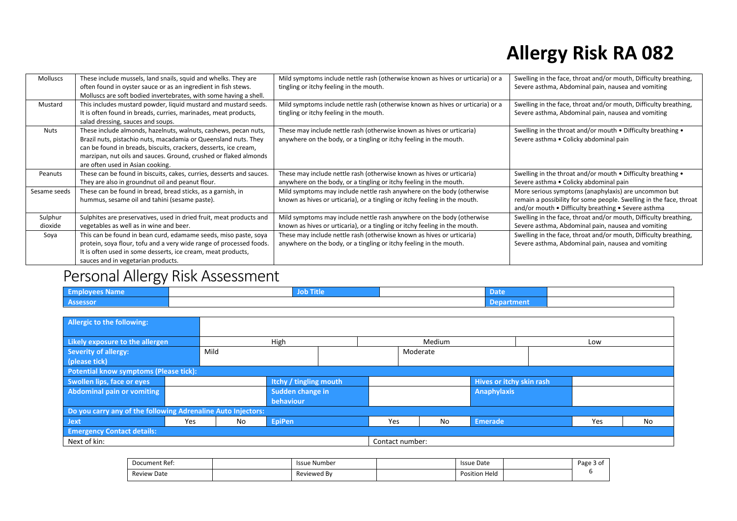| Molluscs           | These include mussels, land snails, squid and whelks. They are<br>often found in oyster sauce or as an ingredient in fish stews.<br>Molluscs are soft bodied invertebrates, with some having a shell.                                                                                                          | Mild symptoms include nettle rash (otherwise known as hives or urticaria) or a<br>tingling or itchy feeling in the mouth.                           | Swelling in the face, throat and/or mouth, Difficulty breathing,<br>Severe asthma, Abdominal pain, nausea and vomiting                                                            |
|--------------------|----------------------------------------------------------------------------------------------------------------------------------------------------------------------------------------------------------------------------------------------------------------------------------------------------------------|-----------------------------------------------------------------------------------------------------------------------------------------------------|-----------------------------------------------------------------------------------------------------------------------------------------------------------------------------------|
| Mustard            | This includes mustard powder, liquid mustard and mustard seeds.<br>It is often found in breads, curries, marinades, meat products,<br>salad dressing, sauces and soups.                                                                                                                                        | Mild symptoms include nettle rash (otherwise known as hives or urticaria) or a<br>tingling or itchy feeling in the mouth.                           | Swelling in the face, throat and/or mouth, Difficulty breathing,<br>Severe asthma, Abdominal pain, nausea and vomiting                                                            |
| <b>Nuts</b>        | These include almonds, hazelnuts, walnuts, cashews, pecan nuts,<br>Brazil nuts, pistachio nuts, macadamia or Queensland nuts. They<br>can be found in breads, biscuits, crackers, desserts, ice cream,<br>marzipan, nut oils and sauces. Ground, crushed or flaked almonds<br>are often used in Asian cooking. | These may include nettle rash (otherwise known as hives or urticaria)<br>anywhere on the body, or a tingling or itchy feeling in the mouth.         | Swelling in the throat and/or mouth . Difficulty breathing .<br>Severe asthma • Colicky abdominal pain                                                                            |
| Peanuts            | These can be found in biscuits, cakes, curries, desserts and sauces.<br>They are also in groundnut oil and peanut flour.                                                                                                                                                                                       | These may include nettle rash (otherwise known as hives or urticaria)<br>anywhere on the body, or a tingling or itchy feeling in the mouth.         | Swelling in the throat and/or mouth . Difficulty breathing .<br>Severe asthma • Colicky abdominal pain                                                                            |
| Sesame seeds       | These can be found in bread, bread sticks, as a garnish, in<br>hummus, sesame oil and tahini (sesame paste).                                                                                                                                                                                                   | Mild symptoms may include nettle rash anywhere on the body (otherwise<br>known as hives or urticaria), or a tingling or itchy feeling in the mouth. | More serious symptoms (anaphylaxis) are uncommon but<br>remain a possibility for some people. Swelling in the face, throat<br>and/or mouth . Difficulty breathing . Severe asthma |
| Sulphur<br>dioxide | Sulphites are preservatives, used in dried fruit, meat products and<br>vegetables as well as in wine and beer.                                                                                                                                                                                                 | Mild symptoms may include nettle rash anywhere on the body (otherwise<br>known as hives or urticaria), or a tingling or itchy feeling in the mouth. | Swelling in the face, throat and/or mouth, Difficulty breathing,<br>Severe asthma, Abdominal pain, nausea and vomiting                                                            |
| Soya               | This can be found in bean curd, edamame seeds, miso paste, soya<br>protein, soya flour, tofu and a very wide range of processed foods.<br>It is often used in some desserts, ice cream, meat products,<br>sauces and in vegetarian products.                                                                   | These may include nettle rash (otherwise known as hives or urticaria)<br>anywhere on the body, or a tingling or itchy feeling in the mouth.         | Swelling in the face, throat and/or mouth, Difficulty breathing,<br>Severe asthma, Abdominal pain, nausea and vomiting                                                            |

#### Personal Allergy Risk Assessment

| $\sim$<br><b>Employees Name \</b> | <b>b</b> Titles | Date              |  |
|-----------------------------------|-----------------|-------------------|--|
| <b>Assessor</b>                   |                 | <b>Department</b> |  |

| Allergic to the following:                                   |     |      |    |                        |  |     |                 |        |                          |     |     |    |
|--------------------------------------------------------------|-----|------|----|------------------------|--|-----|-----------------|--------|--------------------------|-----|-----|----|
| Likely exposure to the allergen                              |     | High |    |                        |  |     |                 | Medium |                          | Low |     |    |
| <b>Severity of allergy:</b>                                  |     | Mild |    |                        |  |     | Moderate        |        |                          |     |     |    |
| (please tick)                                                |     |      |    |                        |  |     |                 |        |                          |     |     |    |
| <b>Potential know symptoms (Please tick):</b>                |     |      |    |                        |  |     |                 |        |                          |     |     |    |
| Swollen lips, face or eyes                                   |     |      |    | Itchy / tingling mouth |  |     |                 |        | Hives or itchy skin rash |     |     |    |
| Abdominal pain or vomiting                                   |     |      |    | Sudden change in       |  |     |                 |        | Anaphylaxis              |     |     |    |
|                                                              |     |      |    | behaviour              |  |     |                 |        |                          |     |     |    |
| Do you carry any of the following Adrenaline Auto Injectors: |     |      |    |                        |  |     |                 |        |                          |     |     |    |
| <b>Jext</b>                                                  | Yes |      | No | <b>EpiPen</b>          |  | Yes |                 | No     | <b>Emerade</b>           |     | Yes | No |
| <b>Emergency Contact details:</b>                            |     |      |    |                        |  |     |                 |        |                          |     |     |    |
| Next of kin:                                                 |     |      |    |                        |  |     | Contact number: |        |                          |     |     |    |

| Document Ref:      | Issue Number | <b>Issue Date</b> | Page.<br>$\sim$<br>. . |
|--------------------|--------------|-------------------|------------------------|
| <b>Review Date</b> | Reviewed By  | Position Held     |                        |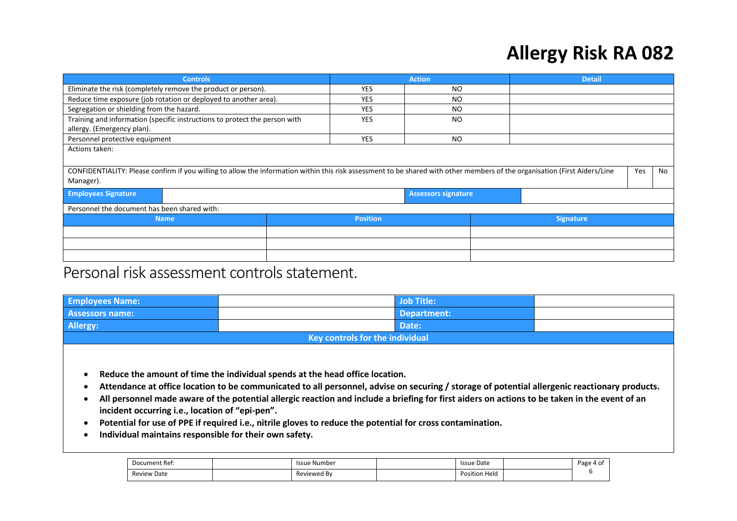| <b>Controls</b>                                                            |                                                                                                                                                                            |                 | <b>Action</b>              |  | <b>Detail</b>    |     |     |  |  |  |  |  |
|----------------------------------------------------------------------------|----------------------------------------------------------------------------------------------------------------------------------------------------------------------------|-----------------|----------------------------|--|------------------|-----|-----|--|--|--|--|--|
| Eliminate the risk (completely remove the product or person).              |                                                                                                                                                                            | <b>YES</b>      | NO.                        |  |                  |     |     |  |  |  |  |  |
| Reduce time exposure (job rotation or deployed to another area).           |                                                                                                                                                                            | <b>YES</b>      | NO.                        |  |                  |     |     |  |  |  |  |  |
| Segregation or shielding from the hazard.                                  |                                                                                                                                                                            | <b>YES</b>      | NO.                        |  |                  |     |     |  |  |  |  |  |
| Training and information (specific instructions to protect the person with |                                                                                                                                                                            | <b>YES</b>      | NO                         |  |                  |     |     |  |  |  |  |  |
| allergy. (Emergency plan).                                                 |                                                                                                                                                                            |                 |                            |  |                  |     |     |  |  |  |  |  |
| Personnel protective equipment                                             |                                                                                                                                                                            | <b>YES</b>      | NO.                        |  |                  |     |     |  |  |  |  |  |
| Actions taken:                                                             | CONFIDENTIALITY: Please confirm if you willing to allow the information within this risk assessment to be shared with other members of the organisation (First Aiders/Line |                 |                            |  |                  |     |     |  |  |  |  |  |
| Manager).                                                                  |                                                                                                                                                                            |                 |                            |  |                  | Yes | No. |  |  |  |  |  |
| <b>Employees Signature</b>                                                 |                                                                                                                                                                            |                 | <b>Assessors signature</b> |  |                  |     |     |  |  |  |  |  |
| Personnel the document has been shared with:                               |                                                                                                                                                                            |                 |                            |  |                  |     |     |  |  |  |  |  |
| <b>Name</b>                                                                |                                                                                                                                                                            | <b>Position</b> |                            |  | <b>Signature</b> |     |     |  |  |  |  |  |
|                                                                            |                                                                                                                                                                            |                 |                            |  |                  |     |     |  |  |  |  |  |
|                                                                            |                                                                                                                                                                            |                 |                            |  |                  |     |     |  |  |  |  |  |
|                                                                            |                                                                                                                                                                            |                 |                            |  |                  |     |     |  |  |  |  |  |

#### Personal risk assessment controls statement.

| <b>Employees Name:</b> | Job Title:                      |  |
|------------------------|---------------------------------|--|
| <b>Assessors name:</b> | Department:                     |  |
| Allergy:               | Date:                           |  |
|                        | Key controls for the individual |  |
|                        |                                 |  |

- **Reduce the amount of time the individual spends at the head office location.**
- **Attendance at office location to be communicated to all personnel, advise on securing / storage of potential allergenic reactionary products.**
- **All personnel made aware of the potential allergic reaction and include a briefing for first aiders on actions to be taken in the event of an incident occurring i.e., location of "epi-pen".**
- **Potential for use of PPE if required i.e., nitrile gloves to reduce the potential for cross contamination.**
- **Individual maintains responsible for their own safety.**

| Document Ref:      | Issue Number | <b>Issue Date</b>    | Page 4 of |
|--------------------|--------------|----------------------|-----------|
| <b>Review Date</b> | Reviewed By  | <b>Position Held</b> |           |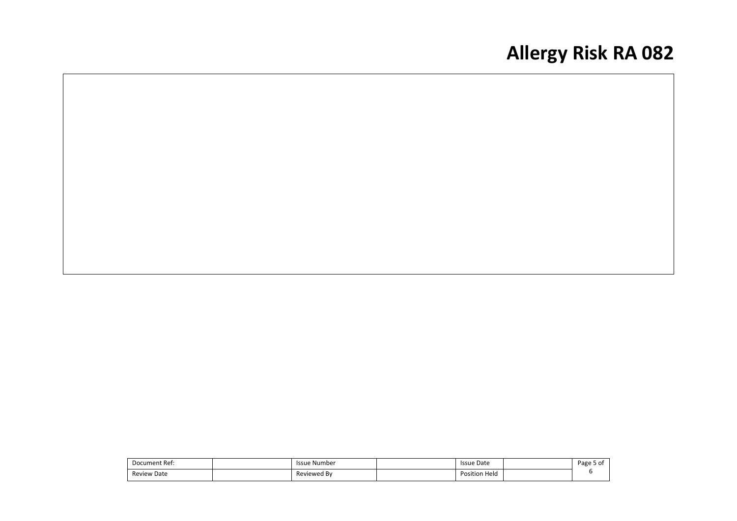| Document Ref:      | Issue Number | <b>Issue Date</b> | Page 5<br>0t |
|--------------------|--------------|-------------------|--------------|
| <b>Review Date</b> | Reviewed By  | Position Held     |              |